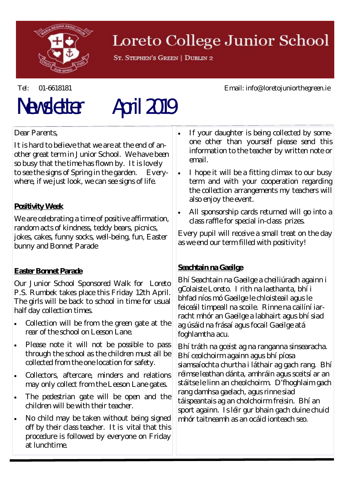

## Loreto College Junior School

ST. STEPHEN'S GREEN | DUBLIN 2

# Newsletter April 2019

Dear Parents,

It is hard to believe that we are at the end of another great term in Junior School. We have been so busy that the time has flown by. It is lovely to see the signs of Spring in the garden. Everywhere, if we just look, we can see signs of life.

### **Positivity Week**

We are celebrating a time of positive affirmation, random acts of kindness, teddy bears, picnics, jokes, cakes, funny socks, well-being, fun, Easter bunny and Bonnet Parade

#### **Easter Bonnet Parade**

Our Junior School Sponsored Walk for Loreto P.S. Rumbek takes place this Friday 12th April. The girls will be back to school in time for usual half day collection times.

- Collection will be from the green gate at the rear of the school on Leeson Lane.
- Please note it will not be possible to pass through the school as the children must all be collected from the one location for safety.
- Collectors, aftercare, minders and relations may only collect from the Leeson Lane gates.
- The pedestrian gate will be open and the children will be with their teacher.
- No child may be taken without being signed off by their class teacher. It is vital that this procedure is followed by everyone on Friday at lunchtime.
- If your daughter is being collected by someone other than yourself please send this information to the teacher by written note or email.
- I hope it will be a fitting climax to our busy term and with your cooperation regarding the collection arrangements my teachers will also enjoy the event.
- All sponsorship cards returned will go into a class raffle for special in-class prizes.

Every pupil will receive a small treat on the day as we end our term filled with positivity!

#### **Seachtain na Gaeilge**

Bhí Seachtain na Gaeilge a cheiliúradh againn i gColaiste Loreto. I rith na laethanta, bhí i bhfad níos mó Gaeilge le chloisteail agus le feiceáil timpeall na scoile. Rinne na cailíní iarracht mhór an Gaeilge a labhairt agus bhí siad ag úsáid na frásaí agus focail Gaeilge atá foghlamtha acu.

Bhí tráth na gceist ag na ranganna sinsearacha. Bhí ceolchoirm againn agus bhí píosa siamsaíochta churtha i láthair ag gach rang. Bhí réimse leathan dánta, amhráin agus sceitsí ar an stáitse le linn an cheolchoirm. D'fhoghlaim gach rang damhsa gaelach, agus rinne siad táispeantais ag an cholchoirm freisin. Bhí an sport againn. Is léir gur bhain gach duine chuid mhór taitneamh as an ocáid ionteach seo.

Tel: 01-6618181 Email: info@loretojuniorthegreen.ie